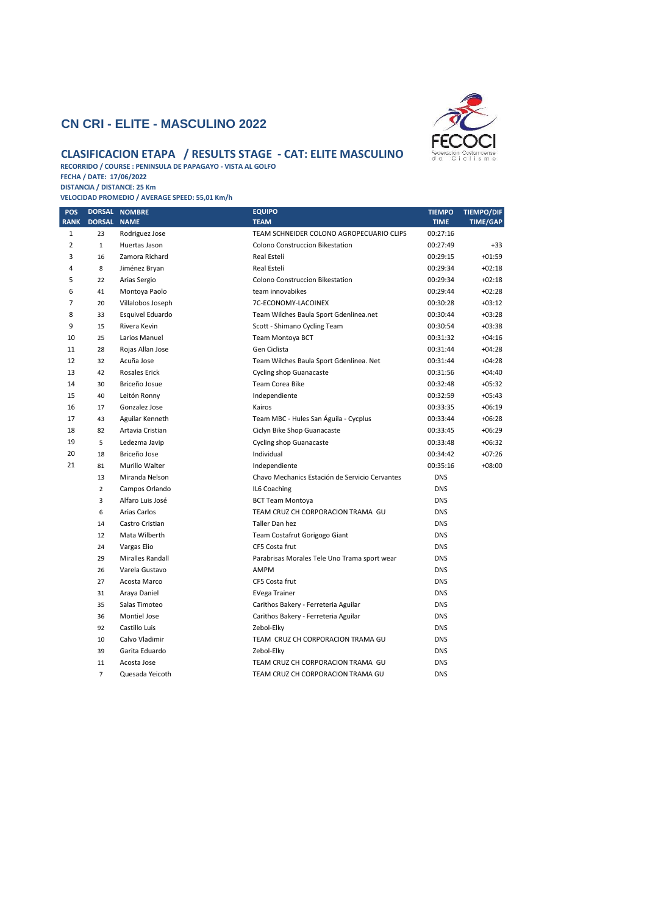## **CN CRI - ELITE - MASCULINO 2022**



## **CLASIFICACION ETAPA / RESULTS STAGE - CAT: ELITE MASCULINO**

**RECORRIDO / COURSE : PENINSULA DE PAPAGAYO - VISTA AL GOLFO FECHA / DATE: 17/06/2022**

**DISTANCIA / DISTANCE: 25 Km VELOCIDAD PROMEDIO / AVERAGE SPEED: 55,01 Km/h**

| POS                            |                    | DORSAL NOMBRE                    | <b>EQUIPO</b><br><b>TEAM</b>                                                | <b>TIEMPO</b>        | <b>TIEMPO/DIF</b>    |
|--------------------------------|--------------------|----------------------------------|-----------------------------------------------------------------------------|----------------------|----------------------|
| <b>RANK</b>                    | DORSAL NAME        |                                  |                                                                             | <b>TIME</b>          | <b>TIME/GAP</b>      |
| $\mathbf{1}$<br>$\overline{2}$ | 23<br>$\mathbf{1}$ | Rodriguez Jose<br>Huertas Jason  | TEAM SCHNEIDER COLONO AGROPECUARIO CLIPS<br>Colono Construccion Bikestation | 00:27:16<br>00:27:49 | $+33$                |
| 3                              | 16                 | Zamora Richard                   | Real Estelí                                                                 | 00:29:15             | $+01:59$             |
| 4                              | 8                  | Jiménez Bryan                    | Real Estelí                                                                 | 00:29:34             | $+02:18$             |
| 5                              | 22                 |                                  | Colono Construccion Bikestation                                             | 00:29:34             | $+02:18$             |
| 6                              |                    | Arias Sergio                     |                                                                             |                      |                      |
| $\overline{7}$                 | 41                 | Montoya Paolo                    | team innovabikes<br>7C-ECONOMY-LACOINEX                                     | 00:29:44             | $+02:28$<br>$+03:12$ |
| 8                              | 20                 | Villalobos Joseph                |                                                                             | 00:30:28             | $+03:28$             |
| 9                              | 33                 | Esquivel Eduardo<br>Rivera Kevin | Team Wilches Baula Sport Gdenlinea.net                                      | 00:30:44             | $+03:38$             |
| 10                             | 15                 |                                  | Scott - Shimano Cycling Team                                                | 00:30:54             | $+04:16$             |
| 11                             | 25                 | Larios Manuel                    | Team Montoya BCT                                                            | 00:31:32             |                      |
|                                | 28                 | Rojas Allan Jose                 | Gen Ciclista                                                                | 00:31:44             | $+04:28$             |
| 12<br>13                       | 32                 | Acuña Jose                       | Team Wilches Baula Sport Gdenlinea. Net                                     | 00:31:44             | $+04:28$             |
|                                | 42                 | <b>Rosales Erick</b>             | <b>Cycling shop Guanacaste</b>                                              | 00:31:56             | $+04:40$             |
| 14<br>15                       | 30                 | Briceño Josue                    | Team Corea Bike                                                             | 00:32:48             | $+05:32$             |
| 16                             | 40                 | Leitón Ronny                     | Independiente                                                               | 00:32:59             | $+05:43$             |
| 17                             | 17                 | Gonzalez Jose                    | Kairos                                                                      | 00:33:35             | $+06:19$             |
|                                | 43                 | Aguilar Kenneth                  | Team MBC - Hules San Águila - Cycplus                                       | 00:33:44             | $+06:28$             |
| 18<br>19                       | 82                 | Artavia Cristian                 | Ciclyn Bike Shop Guanacaste                                                 | 00:33:45             | $+06:29$             |
|                                | 5                  | Ledezma Javip                    | <b>Cycling shop Guanacaste</b>                                              | 00:33:48             | $+06:32$             |
| 20<br>21                       | 18                 | Briceño Jose                     | Individual                                                                  | 00:34:42             | $+07:26$             |
|                                | 81                 | Murillo Walter                   | Independiente                                                               | 00:35:16             | $+08:00$             |
|                                | 13                 | Miranda Nelson                   | Chavo Mechanics Estación de Servicio Cervantes                              | <b>DNS</b>           |                      |
|                                | $\overline{2}$     | Campos Orlando                   | IL6 Coaching                                                                | <b>DNS</b>           |                      |
|                                | 3                  | Alfaro Luis José                 | <b>BCT Team Montoya</b>                                                     | <b>DNS</b>           |                      |
|                                | 6                  | Arias Carlos                     | TEAM CRUZ CH CORPORACION TRAMA GU                                           | <b>DNS</b>           |                      |
|                                | 14                 | Castro Cristian                  | Taller Dan hez                                                              | <b>DNS</b>           |                      |
|                                | 12                 | Mata Wilberth                    | Team Costafrut Gorigogo Giant                                               | <b>DNS</b>           |                      |
|                                | 24                 | Vargas Elio                      | CF5 Costa frut                                                              | <b>DNS</b>           |                      |
|                                | 29                 | Miralles Randall                 | Parabrisas Morales Tele Uno Trama sport wear                                | <b>DNS</b>           |                      |
|                                | 26                 | Varela Gustavo                   | <b>AMPM</b>                                                                 | <b>DNS</b>           |                      |
|                                | 27                 | Acosta Marco                     | CF5 Costa frut                                                              | <b>DNS</b>           |                      |
|                                | 31                 | Araya Daniel                     | <b>EVega Trainer</b>                                                        | <b>DNS</b>           |                      |
|                                | 35                 | Salas Timoteo                    | Carithos Bakery - Ferreteria Aguilar                                        | <b>DNS</b>           |                      |
|                                | 36                 | Montiel Jose                     | Carithos Bakery - Ferreteria Aguilar                                        | <b>DNS</b>           |                      |
|                                | 92                 | Castillo Luis                    | Zebol-Elky                                                                  | <b>DNS</b>           |                      |
|                                | 10                 | Calvo Vladimir                   | TEAM CRUZ CH CORPORACION TRAMA GU                                           | <b>DNS</b>           |                      |
|                                | 39                 | Garita Eduardo                   | Zebol-Elky                                                                  | <b>DNS</b>           |                      |
|                                | 11                 | Acosta Jose                      | TEAM CRUZ CH CORPORACION TRAMA GU                                           | <b>DNS</b>           |                      |
|                                | $\overline{7}$     | Quesada Yeicoth                  | TEAM CRUZ CH CORPORACION TRAMA GU                                           | <b>DNS</b>           |                      |